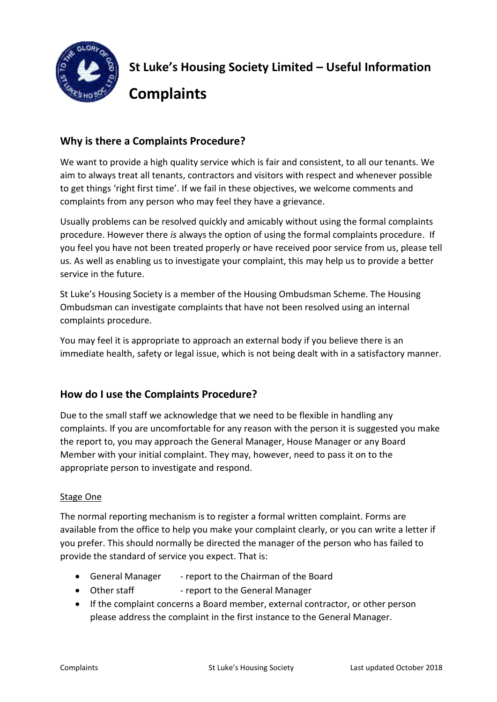

# **Why is there a Complaints Procedure?**

We want to provide a high quality service which is fair and consistent, to all our tenants. We aim to always treat all tenants, contractors and visitors with respect and whenever possible to get things 'right first time'. If we fail in these objectives, we welcome comments and complaints from any person who may feel they have a grievance.

Usually problems can be resolved quickly and amicably without using the formal complaints procedure. However there *is* always the option of using the formal complaints procedure. If you feel you have not been treated properly or have received poor service from us, please tell us. As well as enabling us to investigate your complaint, this may help us to provide a better service in the future.

St Luke's Housing Society is a member of the Housing Ombudsman Scheme. The Housing Ombudsman can investigate complaints that have not been resolved using an internal complaints procedure.

You may feel it is appropriate to approach an external body if you believe there is an immediate health, safety or legal issue, which is not being dealt with in a satisfactory manner.

## **How do I use the Complaints Procedure?**

Due to the small staff we acknowledge that we need to be flexible in handling any complaints. If you are uncomfortable for any reason with the person it is suggested you make the report to, you may approach the General Manager, House Manager or any Board Member with your initial complaint. They may, however, need to pass it on to the appropriate person to investigate and respond.

### Stage One

The normal reporting mechanism is to register a formal written complaint. Forms are available from the office to help you make your complaint clearly, or you can write a letter if you prefer. This should normally be directed the manager of the person who has failed to provide the standard of service you expect. That is:

- General Manager report to the Chairman of the Board
- Other staff report to the General Manager
- If the complaint concerns a Board member, external contractor, or other person please address the complaint in the first instance to the General Manager.